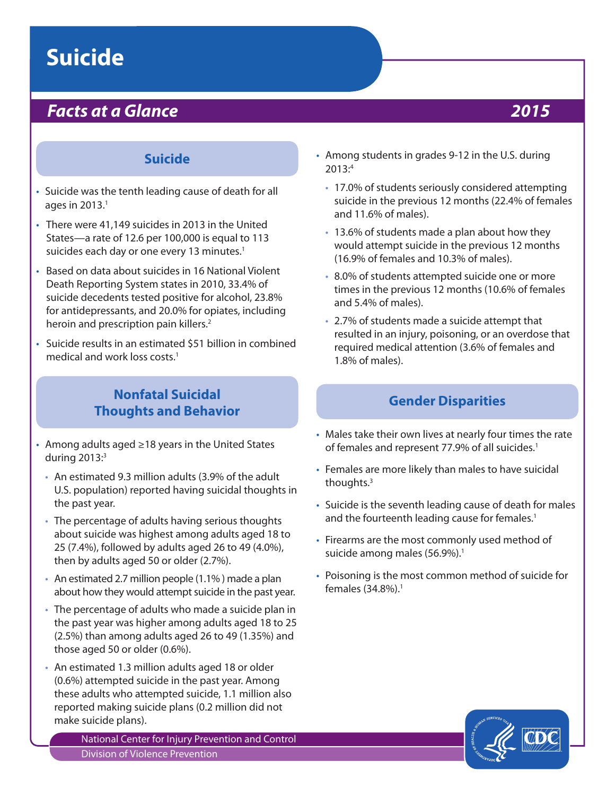# **Suicide**

## *Facts at a Glance 2015*

### **Suicide**

- Suicide was the tenth leading cause of death for all ages in  $2013.<sup>1</sup>$
- There were 41,149 suicides in 2013 in the United States—a rate of 12.6 per 100,000 is equal to 113 suicides each day or one every 13 minutes.<sup>1</sup>
- Based on data about suicides in 16 National Violent Death Reporting System states in 2010, 33.4% of suicide decedents tested positive for alcohol, 23.8% for antidepressants, and 20.0% for opiates, including heroin and prescription pain killers.<sup>2</sup>
- Suicide results in an estimated \$51 billion in combined medical and work loss costs<sup>1</sup>

### **Nonfatal Suicidal Thoughts and Behavior**

- Among adults aged ≥18 years in the United States during  $2013$ : $3$ 
	- An estimated 9.3 million adults (3.9% of the adult U.S. population) reported having suicidal thoughts in the past year.
	- The percentage of adults having serious thoughts about suicide was highest among adults aged 18 to 25 (7.4%), followed by adults aged 26 to 49 (4.0%), then by adults aged 50 or older (2.7%).
	- An estimated 2.7 million people (1.1% ) made a plan about how they would attempt suicide in the past year.
	- The percentage of adults who made a suicide plan in the past year was higher among adults aged 18 to 25 (2.5%) than among adults aged 26 to 49 (1.35%) and those aged 50 or older (0.6%).
	- An estimated 1.3 million adults aged 18 or older (0.6%) attempted suicide in the past year. Among these adults who attempted suicide, 1.1 million also reported making suicide plans (0.2 million did not make suicide plans).

National Center for Injury Prevention and Control Division of Violence Prevention

- Among students in grades 9-12 in the U.S. during 2013:4
	- 17.0% of students seriously considered attempting suicide in the previous 12 months (22.4% of females and 11.6% of males).
	- 13.6% of students made a plan about how they would attempt suicide in the previous 12 months (16.9% of females and 10.3% of males).
	- 8.0% of students attempted suicide one or more times in the previous 12 months (10.6% of females and 5.4% of males).
	- 2.7% of students made a suicide attempt that resulted in an injury, poisoning, or an overdose that required medical attention (3.6% of females and 1.8% of males).

#### **Gender Disparities**

- Males take their own lives at nearly four times the rate of females and represent 77.9% of all suicides.<sup>1</sup>
- Females are more likely than males to have suicidal thoughts.3
- Suicide is the seventh leading cause of death for males and the fourteenth leading cause for females.<sup>1</sup>
- Firearms are the most commonly used method of suicide among males  $(56.9\%)$ .<sup>1</sup>
- Poisoning is the most common method of suicide for females (34.8%).1